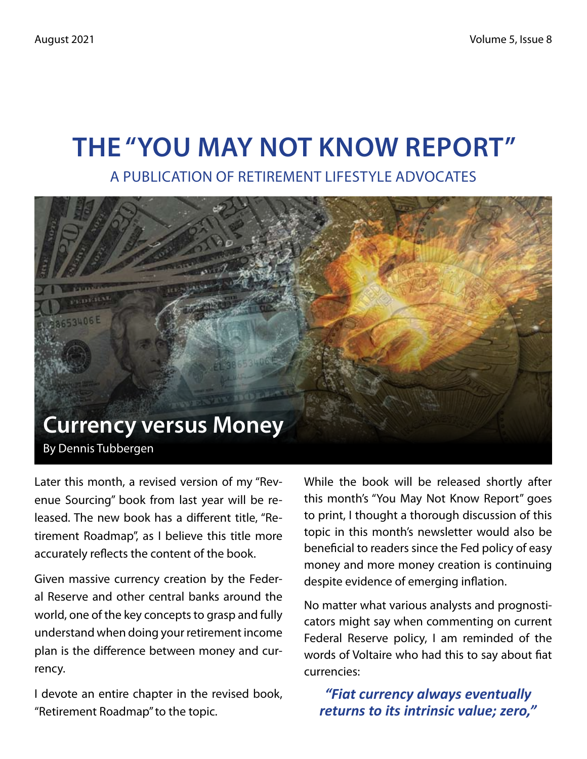# **The "You May Not Know Report"**

A Publication of Retirement Lifestyle Advocates



Later this month, a revised version of my "Revenue Sourcing" book from last year will be released. The new book has a different title, "Retirement Roadmap", as I believe this title more accurately reflects the content of the book.

Given massive currency creation by the Federal Reserve and other central banks around the world, one of the key concepts to grasp and fully understand when doing your retirement income plan is the difference between money and currency.

I devote an entire chapter in the revised book, "Retirement Roadmap" to the topic.

While the book will be released shortly after this month's "You May Not Know Report" goes to print, I thought a thorough discussion of this topic in this month's newsletter would also be beneficial to readers since the Fed policy of easy money and more money creation is continuing despite evidence of emerging inflation.

No matter what various analysts and prognosticators might say when commenting on current Federal Reserve policy, I am reminded of the words of Voltaire who had this to say about fiat currencies:

*"Fiat currency always eventually returns to its intrinsic value; zero,"*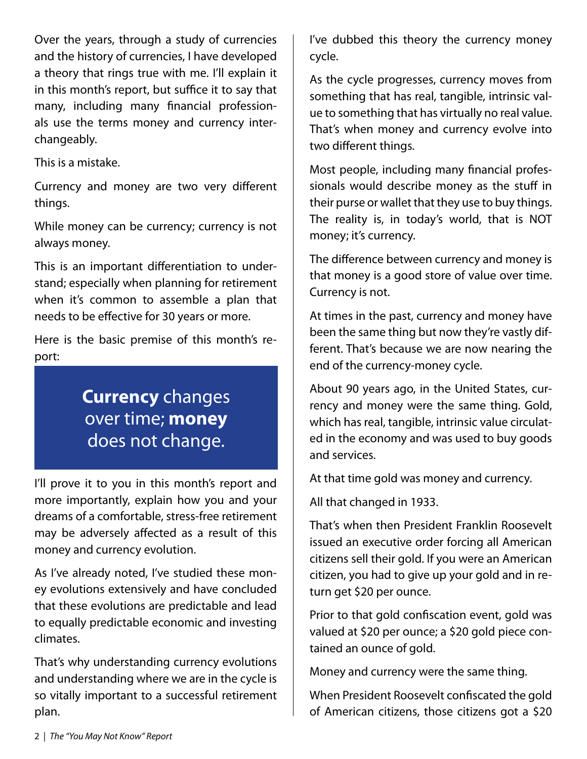Over the years, through a study of currencies and the history of currencies, I have developed a theory that rings true with me. I'll explain it in this month's report, but suffice it to say that many, including many financial professionals use the terms money and currency interchangeably.

This is a mistake.

Currency and money are two very different things.

While money can be currency; currency is not always money.

This is an important differentiation to understand; especially when planning for retirement when it's common to assemble a plan that needs to be effective for 30 years or more.

Here is the basic premise of this month's report:

# **Currency** changes over time; **money** does not change.

I'll prove it to you in this month's report and more importantly, explain how you and your dreams of a comfortable, stress-free retirement may be adversely affected as a result of this money and currency evolution.

As I've already noted, I've studied these money evolutions extensively and have concluded that these evolutions are predictable and lead to equally predictable economic and investing climates.

That's why understanding currency evolutions and understanding where we are in the cycle is so vitally important to a successful retirement plan.

I've dubbed this theory the currency money cycle.

As the cycle progresses, currency moves from something that has real, tangible, intrinsic value to something that has virtually no real value. That's when money and currency evolve into two different things.

Most people, including many financial professionals would describe money as the stuff in their purse or wallet that they use to buy things. The reality is, in today's world, that is NOT money; it's currency.

The difference between currency and money is that money is a good store of value over time. Currency is not.

At times in the past, currency and money have been the same thing but now they're vastly different. That's because we are now nearing the end of the currency-money cycle.

About 90 years ago, in the United States, currency and money were the same thing. Gold, which has real, tangible, intrinsic value circulated in the economy and was used to buy goods and services.

At that time gold was money and currency.

All that changed in 1933.

That's when then President Franklin Roosevelt issued an executive order forcing all American citizens sell their gold. If you were an American citizen, you had to give up your gold and in return get \$20 per ounce.

Prior to that gold confiscation event, gold was valued at \$20 per ounce; a \$20 gold piece contained an ounce of gold.

Money and currency were the same thing.

When President Roosevelt confiscated the gold of American citizens, those citizens got a \$20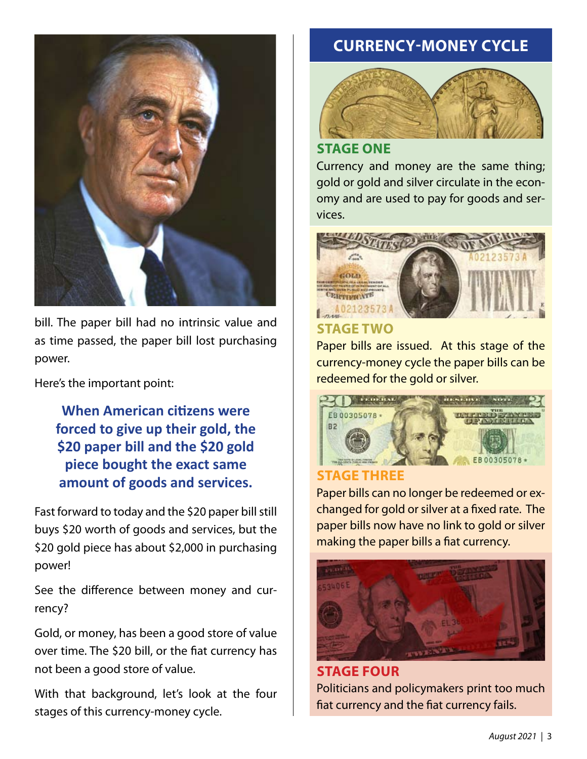

bill. The paper bill had no intrinsic value and as time passed, the paper bill lost purchasing power.

Here's the important point:

**When American citizens were forced to give up their gold, the \$20 paper bill and the \$20 gold piece bought the exact same amount of goods and services.** 

Fast forward to today and the \$20 paper bill still buys \$20 worth of goods and services, but the \$20 gold piece has about \$2,000 in purchasing power!

See the difference between money and currency?

Gold, or money, has been a good store of value over time. The \$20 bill, or the fiat currency has not been a good store of value.

With that background, let's look at the four stages of this currency-money cycle.

### **CURRENCY-MONEY CYCLE**



### **Stage One**

Currency and money are the same thing; gold or gold and silver circulate in the economy and are used to pay for goods and services.



# **Stage Two**

Paper bills are issued. At this stage of the currency-money cycle the paper bills can be redeemed for the gold or silver.



### **Stage Three**

Paper bills can no longer be redeemed or exchanged for gold or silver at a fixed rate. The paper bills now have no link to gold or silver making the paper bills a fiat currency.



**Stage Four** Politicians and policymakers print too much fiat currency and the fiat currency fails.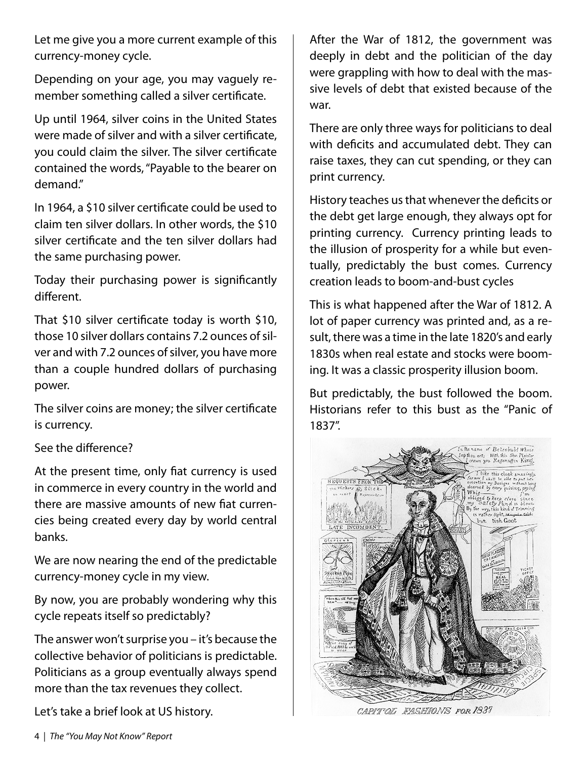Let me give you a more current example of this currency-money cycle.

Depending on your age, you may vaguely remember something called a silver certificate.

Up until 1964, silver coins in the United States were made of silver and with a silver certificate, you could claim the silver. The silver certificate contained the words, "Payable to the bearer on demand."

In 1964, a \$10 silver certificate could be used to claim ten silver dollars. In other words, the \$10 silver certificate and the ten silver dollars had the same purchasing power.

Today their purchasing power is significantly different.

That \$10 silver certificate today is worth \$10, those 10 silver dollars contains 7.2 ounces of silver and with 7.2 ounces of silver, you have more than a couple hundred dollars of purchasing power.

The silver coins are money; the silver certificate is currency.

### See the difference?

At the present time, only fiat currency is used in commerce in every country in the world and there are massive amounts of new fiat currencies being created every day by world central banks.

We are now nearing the end of the predictable currency-money cycle in my view.

By now, you are probably wondering why this cycle repeats itself so predictably?

The answer won't surprise you – it's because the collective behavior of politicians is predictable. Politicians as a group eventually always spend more than the tax revenues they collect.

Let's take a brief look at US history.

After the War of 1812, the government was deeply in debt and the politician of the day were grappling with how to deal with the massive levels of debt that existed because of the war.

There are only three ways for politicians to deal with deficits and accumulated debt. They can raise taxes, they can cut spending, or they can print currency.

History teaches us that whenever the deficits or the debt get large enough, they always opt for printing currency. Currency printing leads to the illusion of prosperity for a while but eventually, predictably the bust comes. Currency creation leads to boom-and-bust cycles

This is what happened after the War of 1812. A lot of paper currency was printed and, as a result, there was a time in the late 1820's and early 1830s when real estate and stocks were booming. It was a classic prosperity illusion boom.

But predictably, the bust followed the boom. Historians refer to this bust as the "Panic of 1837".



CAPITOL FASHIONS FOR 1837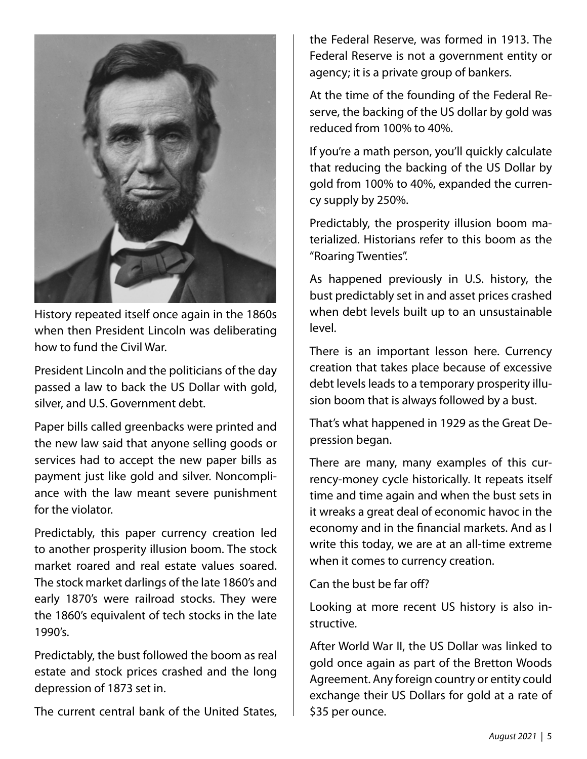

History repeated itself once again in the 1860s when then President Lincoln was deliberating how to fund the Civil War.

President Lincoln and the politicians of the day passed a law to back the US Dollar with gold, silver, and U.S. Government debt.

Paper bills called greenbacks were printed and the new law said that anyone selling goods or services had to accept the new paper bills as payment just like gold and silver. Noncompliance with the law meant severe punishment for the violator.

Predictably, this paper currency creation led to another prosperity illusion boom. The stock market roared and real estate values soared. The stock market darlings of the late 1860's and early 1870's were railroad stocks. They were the 1860's equivalent of tech stocks in the late 1990's.

Predictably, the bust followed the boom as real estate and stock prices crashed and the long depression of 1873 set in.

The current central bank of the United States,

the Federal Reserve, was formed in 1913. The Federal Reserve is not a government entity or agency; it is a private group of bankers.

At the time of the founding of the Federal Reserve, the backing of the US dollar by gold was reduced from 100% to 40%.

If you're a math person, you'll quickly calculate that reducing the backing of the US Dollar by gold from 100% to 40%, expanded the currency supply by 250%.

Predictably, the prosperity illusion boom materialized. Historians refer to this boom as the "Roaring Twenties".

As happened previously in U.S. history, the bust predictably set in and asset prices crashed when debt levels built up to an unsustainable level.

There is an important lesson here. Currency creation that takes place because of excessive debt levels leads to a temporary prosperity illusion boom that is always followed by a bust.

That's what happened in 1929 as the Great Depression began.

There are many, many examples of this currency-money cycle historically. It repeats itself time and time again and when the bust sets in it wreaks a great deal of economic havoc in the economy and in the financial markets. And as I write this today, we are at an all-time extreme when it comes to currency creation.

Can the bust be far off?

Looking at more recent US history is also instructive.

After World War II, the US Dollar was linked to gold once again as part of the Bretton Woods Agreement. Any foreign country or entity could exchange their US Dollars for gold at a rate of \$35 per ounce.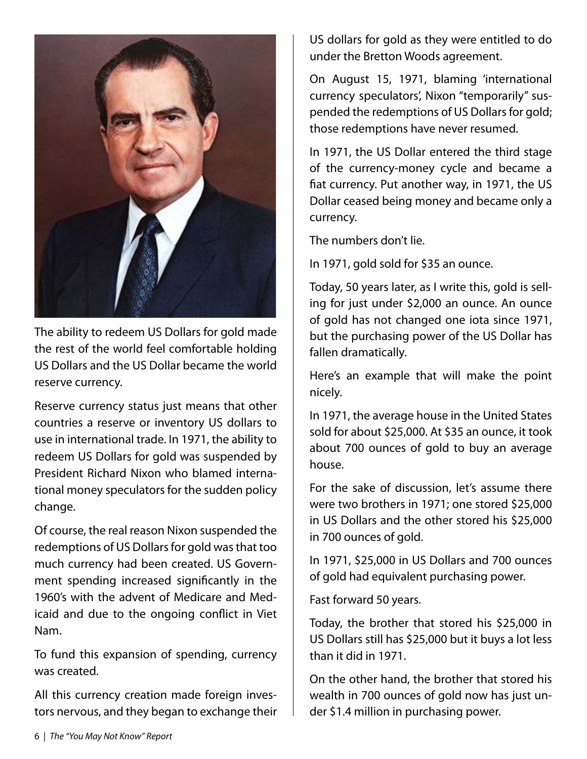

The ability to redeem US Dollars for gold made the rest of the world feel comfortable holding US Dollars and the US Dollar became the world reserve currency.

Reserve currency status just means that other countries a reserve or inventory US dollars to use in international trade. In 1971, the ability to redeem US Dollars for gold was suspended by President Richard Nixon who blamed international money speculators for the sudden policy change.

Of course, the real reason Nixon suspended the redemptions of US Dollars for gold was that too much currency had been created. US Government spending increased significantly in the 1960's with the advent of Medicare and Medicaid and due to the ongoing conflict in Viet Nam.

To fund this expansion of spending, currency was created.

All this currency creation made foreign investors nervous, and they began to exchange their US dollars for gold as they were entitled to do under the Bretton Woods agreement.

On August 15, 1971, blaming 'international currency speculators', Nixon "temporarily" suspended the redemptions of US Dollars for gold; those redemptions have never resumed.

In 1971, the US Dollar entered the third stage of the currency-money cycle and became a fiat currency. Put another way, in 1971, the US Dollar ceased being money and became only a currency.

The numbers don't lie.

In 1971, gold sold for \$35 an ounce.

Today, 50 years later, as I write this, gold is selling for just under \$2,000 an ounce. An ounce of gold has not changed one iota since 1971, but the purchasing power of the US Dollar has fallen dramatically.

Here's an example that will make the point nicely.

In 1971, the average house in the United States sold for about \$25,000. At \$35 an ounce, it took about 700 ounces of gold to buy an average house.

For the sake of discussion, let's assume there were two brothers in 1971; one stored \$25,000 in US Dollars and the other stored his \$25,000 in 700 ounces of gold.

In 1971, \$25,000 in US Dollars and 700 ounces of gold had equivalent purchasing power.

Fast forward 50 years.

Today, the brother that stored his \$25,000 in US Dollars still has \$25,000 but it buys a lot less than it did in 1971.

On the other hand, the brother that stored his wealth in 700 ounces of gold now has just under \$1.4 million in purchasing power.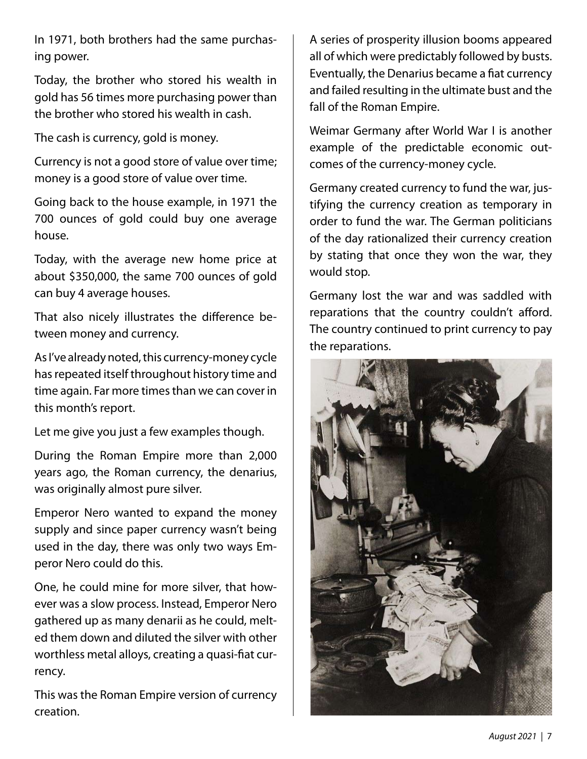In 1971, both brothers had the same purchasing power.

Today, the brother who stored his wealth in gold has 56 times more purchasing power than the brother who stored his wealth in cash.

The cash is currency, gold is money.

Currency is not a good store of value over time; money is a good store of value over time.

Going back to the house example, in 1971 the 700 ounces of gold could buy one average house.

Today, with the average new home price at about \$350,000, the same 700 ounces of gold can buy 4 average houses.

That also nicely illustrates the difference between money and currency.

As I've already noted, this currency-money cycle has repeated itself throughout history time and time again. Far more times than we can cover in this month's report.

Let me give you just a few examples though.

During the Roman Empire more than 2,000 years ago, the Roman currency, the denarius, was originally almost pure silver.

Emperor Nero wanted to expand the money supply and since paper currency wasn't being used in the day, there was only two ways Emperor Nero could do this.

One, he could mine for more silver, that however was a slow process. Instead, Emperor Nero gathered up as many denarii as he could, melted them down and diluted the silver with other worthless metal alloys, creating a quasi-fiat currency.

This was the Roman Empire version of currency creation.

A series of prosperity illusion booms appeared all of which were predictably followed by busts. Eventually, the Denarius became a fiat currency and failed resulting in the ultimate bust and the fall of the Roman Empire.

Weimar Germany after World War I is another example of the predictable economic outcomes of the currency-money cycle.

Germany created currency to fund the war, justifying the currency creation as temporary in order to fund the war. The German politicians of the day rationalized their currency creation by stating that once they won the war, they would stop.

Germany lost the war and was saddled with reparations that the country couldn't afford. The country continued to print currency to pay the reparations.

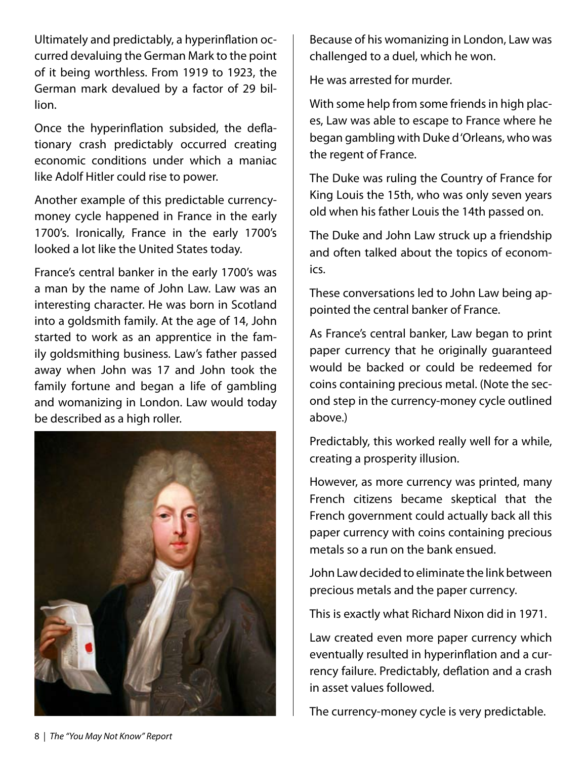Ultimately and predictably, a hyperinflation occurred devaluing the German Mark to the point of it being worthless. From 1919 to 1923, the German mark devalued by a factor of 29 billion.

Once the hyperinflation subsided, the deflationary crash predictably occurred creating economic conditions under which a maniac like Adolf Hitler could rise to power.

Another example of this predictable currencymoney cycle happened in France in the early 1700's. Ironically, France in the early 1700's looked a lot like the United States today.

France's central banker in the early 1700's was a man by the name of John Law. Law was an interesting character. He was born in Scotland into a goldsmith family. At the age of 14, John started to work as an apprentice in the family goldsmithing business. Law's father passed away when John was 17 and John took the family fortune and began a life of gambling and womanizing in London. Law would today be described as a high roller.



Because of his womanizing in London, Law was challenged to a duel, which he won.

He was arrested for murder.

With some help from some friends in high places, Law was able to escape to France where he began gambling with Duke d 'Orleans, who was the regent of France.

The Duke was ruling the Country of France for King Louis the 15th, who was only seven years old when his father Louis the 14th passed on.

The Duke and John Law struck up a friendship and often talked about the topics of economics.

These conversations led to John Law being appointed the central banker of France.

As France's central banker, Law began to print paper currency that he originally guaranteed would be backed or could be redeemed for coins containing precious metal. (Note the second step in the currency-money cycle outlined above.)

Predictably, this worked really well for a while, creating a prosperity illusion.

However, as more currency was printed, many French citizens became skeptical that the French government could actually back all this paper currency with coins containing precious metals so a run on the bank ensued.

John Law decided to eliminate the link between precious metals and the paper currency.

This is exactly what Richard Nixon did in 1971.

Law created even more paper currency which eventually resulted in hyperinflation and a currency failure. Predictably, deflation and a crash in asset values followed.

The currency-money cycle is very predictable.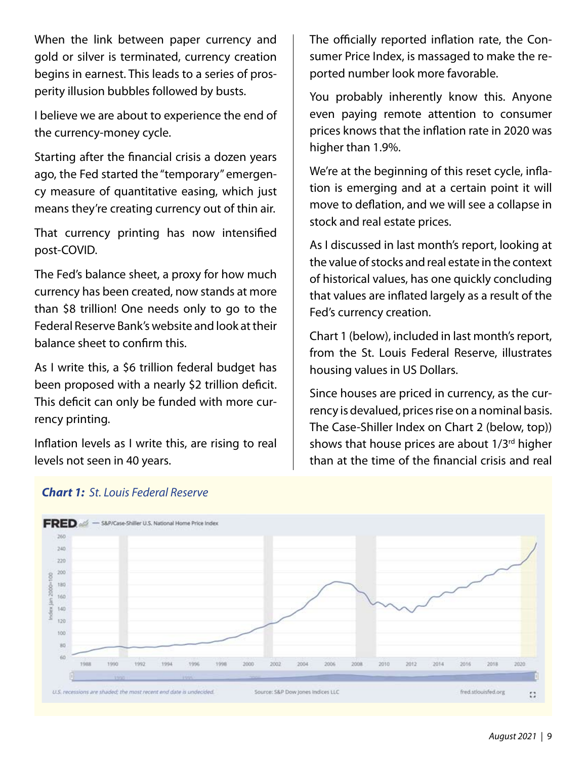When the link between paper currency and gold or silver is terminated, currency creation begins in earnest. This leads to a series of prosperity illusion bubbles followed by busts.

I believe we are about to experience the end of the currency-money cycle.

Starting after the financial crisis a dozen years ago, the Fed started the "temporary" emergency measure of quantitative easing, which just means they're creating currency out of thin air.

That currency printing has now intensified post-COVID.

The Fed's balance sheet, a proxy for how much currency has been created, now stands at more than \$8 trillion! One needs only to go to the Federal Reserve Bank's website and look at their balance sheet to confirm this.

As I write this, a \$6 trillion federal budget has been proposed with a nearly \$2 trillion deficit. This deficit can only be funded with more currency printing.

Inflation levels as I write this, are rising to real levels not seen in 40 years.

The officially reported inflation rate, the Consumer Price Index, is massaged to make the reported number look more favorable.

You probably inherently know this. Anyone even paying remote attention to consumer prices knows that the inflation rate in 2020 was higher than 1.9%.

We're at the beginning of this reset cycle, inflation is emerging and at a certain point it will move to deflation, and we will see a collapse in stock and real estate prices.

As I discussed in last month's report, looking at the value of stocks and real estate in the context of historical values, has one quickly concluding that values are inflated largely as a result of the Fed's currency creation.

Chart 1 (below), included in last month's report, from the St. Louis Federal Reserve, illustrates housing values in US Dollars.

Since houses are priced in currency, as the currency is devalued, prices rise on a nominal basis. The Case-Shiller Index on Chart 2 (below, top)) shows that house prices are about 1/3<sup>rd</sup> higher than at the time of the financial crisis and real



#### *Chart 1: St. Louis Federal Reserve*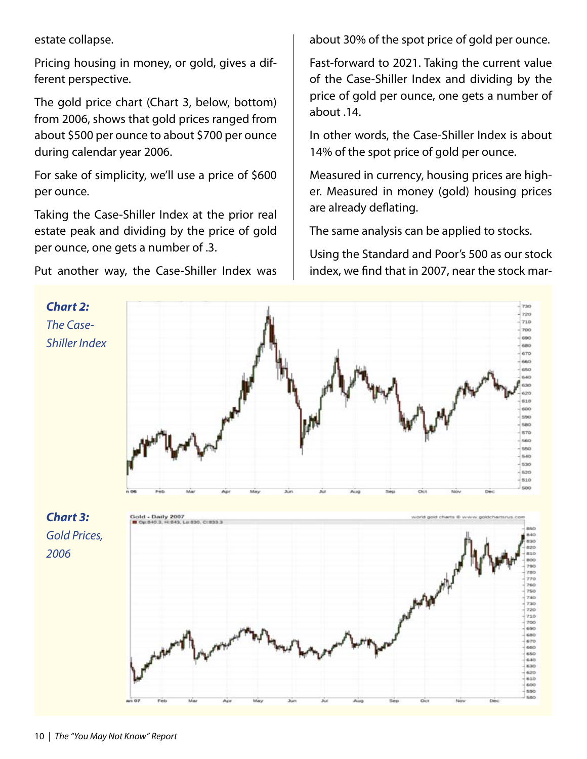estate collapse.

Pricing housing in money, or gold, gives a different perspective.

The gold price chart (Chart 3, below, bottom) from 2006, shows that gold prices ranged from about \$500 per ounce to about \$700 per ounce during calendar year 2006.

For sake of simplicity, we'll use a price of \$600 per ounce.

Taking the Case-Shiller Index at the prior real estate peak and dividing by the price of gold per ounce, one gets a number of .3.

Put another way, the Case-Shiller Index was

about 30% of the spot price of gold per ounce.

Fast-forward to 2021. Taking the current value of the Case-Shiller Index and dividing by the price of gold per ounce, one gets a number of about .14.

In other words, the Case-Shiller Index is about 14% of the spot price of gold per ounce.

Measured in currency, housing prices are higher. Measured in money (gold) housing prices are already deflating.

The same analysis can be applied to stocks.

Using the Standard and Poor's 500 as our stock index, we find that in 2007, near the stock mar-

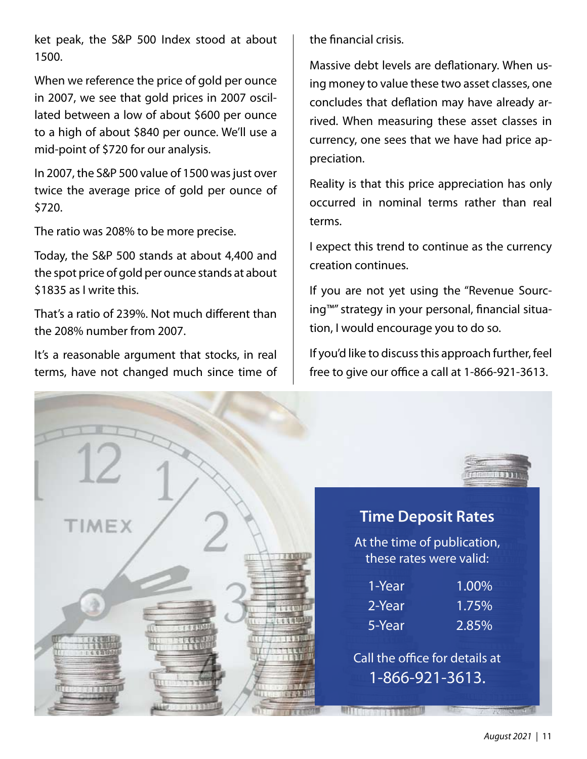ket peak, the S&P 500 Index stood at about 1500.

When we reference the price of gold per ounce in 2007, we see that gold prices in 2007 oscillated between a low of about \$600 per ounce to a high of about \$840 per ounce. We'll use a mid-point of \$720 for our analysis.

In 2007, the S&P 500 value of 1500 was just over twice the average price of gold per ounce of \$720.

The ratio was 208% to be more precise.

Today, the S&P 500 stands at about 4,400 and the spot price of gold per ounce stands at about \$1835 as I write this.

That's a ratio of 239%. Not much different than the 208% number from 2007.

It's a reasonable argument that stocks, in real terms, have not changed much since time of the financial crisis.

Massive debt levels are deflationary. When using money to value these two asset classes, one concludes that deflation may have already arrived. When measuring these asset classes in currency, one sees that we have had price appreciation.

Reality is that this price appreciation has only occurred in nominal terms rather than real terms.

I expect this trend to continue as the currency creation continues.

If you are not yet using the "Revenue Sourcing™" strategy in your personal, financial situation, I would encourage you to do so.

If you'd like to discuss this approach further, feel free to give our office a call at 1-866-921-3613.